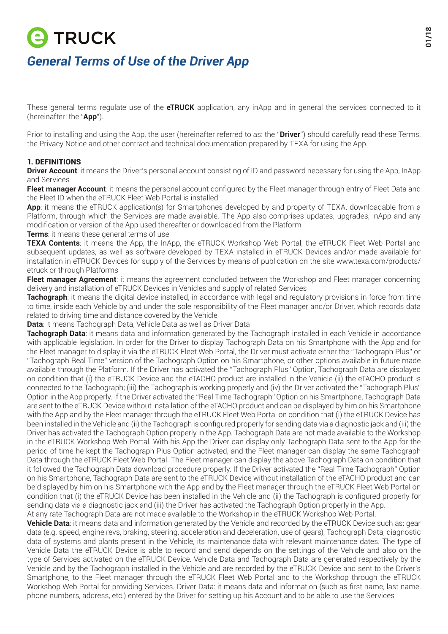# **E TRUCK** *General Terms of Use of the Driver App*

These general terms regulate use of the **eTRUCK** application, any inApp and in general the services connected to it (hereinafter: the "**App**").

Prior to installing and using the App, the user (hereinafter referred to as: the "**Driver**") should carefully read these Terms, the Privacy Notice and other contract and technical documentation prepared by TEXA for using the App.

# 1. DEFINITIONS

**Driver Account:** it means the Driver's personal account consisting of ID and password necessary for using the App, InApp and Services

**Fleet manager Account**: it means the personal account configured by the Fleet manager through entry of Fleet Data and the Fleet ID when the eTRUCK Fleet Web Portal is installed

**App**: it means the eTRUCK application(s) for Smartphones developed by and property of TEXA, downloadable from a Platform, through which the Services are made available. The App also comprises updates, upgrades, inApp and any modification or version of the App used thereafter or downloaded from the Platform

**Terms**: it means these general terms of use

**TEXA Contents**: it means the App, the InApp, the eTRUCK Workshop Web Portal, the eTRUCK Fleet Web Portal and subsequent updates, as well as software developed by TEXA installed in eTRUCK Devices and/or made available for installation in eTRUCK Devices for supply of the Services by means of publication on the site www.texa.com/products/ etruck or through Platforms

**Fleet manager Agreement**: it means the agreement concluded between the Workshop and Fleet manager concerning delivery and installation of eTRUCK Devices in Vehicles and supply of related Services

**Tachograph**: it means the digital device installed, in accordance with legal and regulatory provisions in force from time to time, inside each Vehicle by and under the sole responsibility of the Fleet manager and/or Driver, which records data related to driving time and distance covered by the Vehicle

**Data**: it means Tachograph Data, Vehicle Data as well as Driver Data

**Tachograph Data**: it means data and information generated by the Tachograph installed in each Vehicle in accordance with applicable legislation. In order for the Driver to display Tachograph Data on his Smartphone with the App and for the Fleet manager to display it via the eTRUCK Fleet Web Portal, the Driver must activate either the "Tachograph Plus" or "Tachograph Real Time" version of the Tachograph Option on his Smartphone, or other options available in future made available through the Platform. If the Driver has activated the "Tachograph Plus" Option, Tachograph Data are displayed on condition that (i) the eTRUCK Device and the eTACHO product are installed in the Vehicle (ii) the eTACHO product is connected to the Tachograph; (iii) the Tachograph is working properly and (iv) the Driver activated the "Tachograph Plus" Option in the App properly. If the Driver activated the "Real Time Tachograph" Option on his Smartphone, Tachograph Data are sent to the eTRUCK Device without installation of the eTACHO product and can be displayed by him on his Smartphone with the App and by the Fleet manager through the eTRUCK Fleet Web Portal on condition that (i) the eTRUCK Device has been installed in the Vehicle and (ii) the Tachograph is configured properly for sending data via a diagnostic jack and (iii) the Driver has activated the Tachograph Option properly in the App. Tachograph Data are not made available to the Workshop in the eTRUCK Workshop Web Portal. With his App the Driver can display only Tachograph Data sent to the App for the period of time he kept the Tachograph Plus Option activated, and the Fleet manager can display the same Tachograph Data through the eTRUCK Fleet Web Portal. The Fleet manager can display the above Tachograph Data on condition that it followed the Tachograph Data download procedure properly. If the Driver activated the "Real Time Tachograph" Option on his Smartphone, Tachograph Data are sent to the eTRUCK Device without installation of the eTACHO product and can be displayed by him on his Smartphone with the App and by the Fleet manager through the eTRUCK Fleet Web Portal on condition that (i) the eTRUCK Device has been installed in the Vehicle and (ii) the Tachograph is configured properly for sending data via a diagnostic jack and (iii) the Driver has activated the Tachograph Option properly in the App.

At any rate Tachograph Data are not made available to the Workshop in the eTRUCK Workshop Web Portal.

**Vehicle Data**: it means data and information generated by the Vehicle and recorded by the eTRUCK Device such as: gear data (e.g. speed, engine revs, braking, steering, acceleration and deceleration, use of gears), Tachograph Data, diagnostic data of systems and plants present in the Vehicle, its maintenance data with relevant maintenance dates. The type of Vehicle Data the eTRUCK Device is able to record and send depends on the settings of the Vehicle and also on the type of Services activated on the eTRUCK Device. Vehicle Data and Tachograph Data are generated respectively by the Vehicle and by the Tachograph installed in the Vehicle and are recorded by the eTRUCK Device and sent to the Driver's Smartphone, to the Fleet manager through the eTRUCK Fleet Web Portal and to the Workshop through the eTRUCK Workshop Web Portal for providing Services. Driver Data: it means data and information (such as first name, last name, phone numbers, address, etc.) entered by the Driver for setting up his Account and to be able to use the Services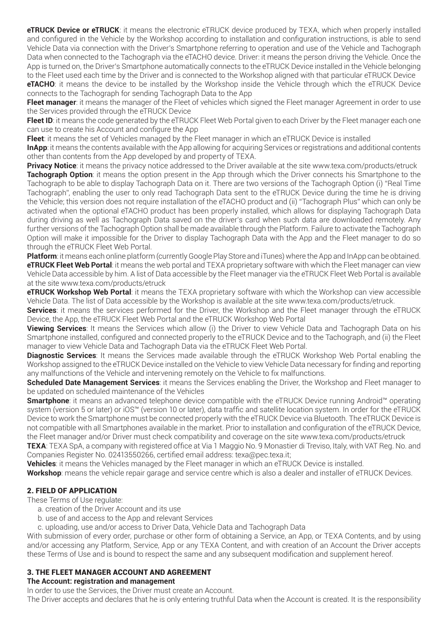**eTRUCK Device or eTRUCK**: it means the electronic eTRUCK device produced by TEXA, which when properly installed and configured in the Vehicle by the Workshop according to installation and configuration instructions, is able to send Vehicle Data via connection with the Driver's Smartphone referring to operation and use of the Vehicle and Tachograph Data when connected to the Tachograph via the eTACHO device. Driver: it means the person driving the Vehicle. Once the App is turned on, the Driver's Smartphone automatically connects to the eTRUCK Device installed in the Vehicle belonging to the Fleet used each time by the Driver and is connected to the Workshop aligned with that particular eTRUCK Device

**eTACHO**: it means the device to be installed by the Workshop inside the Vehicle through which the eTRUCK Device connects to the Tachograph for sending Tachograph Data to the App

**Fleet manager**: it means the manager of the Fleet of vehicles which signed the Fleet manager Agreement in order to use the Services provided through the eTRUCK Device

**Fleet ID:** it means the code generated by the eTRUCK Fleet Web Portal given to each Driver by the Fleet manager each one can use to create his Account and configure the App

**Fleet**: it means the set of Vehicles managed by the Fleet manager in which an eTRUCK Device is installed

**InApp**: it means the contents available with the App allowing for acquiring Services or registrations and additional contents other than contents from the App developed by and property of TEXA.

**Privacy Notice**: it means the privacy notice addressed to the Driver available at the site www.texa.com/products/etruck

**Tachograph Option**: it means the option present in the App through which the Driver connects his Smartphone to the Tachograph to be able to display Tachograph Data on it. There are two versions of the Tachograph Option (i) "Real Time Tachograph", enabling the user to only read Tachograph Data sent to the eTRUCK Device during the time he is driving the Vehicle; this version does not require installation of the eTACHO product and (ii) "Tachograph Plus" which can only be activated when the optional eTACHO product has been properly installed, which allows for displaying Tachograph Data during driving as well as Tachograph Data saved on the driver's card when such data are downloaded remotely. Any further versions of the Tachograph Option shall be made available through the Platform. Failure to activate the Tachograph Option will make it impossible for the Driver to display Tachograph Data with the App and the Fleet manager to do so through the eTRUCK Fleet Web Portal.

**Platform**: it means each online platform (currently Google Play Store and iTunes) where the App and InApp can be obtained. **eTRUCK Fleet Web Portal**: it means the web portal and TEXA proprietary software with which the Fleet manager can view Vehicle Data accessible by him. A list of Data accessible by the Fleet manager via the eTRUCK Fleet Web Portal is available at the site www.texa.com/products/etruck

**eTRUCK Workshop Web Portal**: it means the TEXA proprietary software with which the Workshop can view accessible Vehicle Data. The list of Data accessible by the Workshop is available at the site www.texa.com/products/etruck.

**Services**: it means the services performed for the Driver, the Workshop and the Fleet manager through the eTRUCK Device, the App, the eTRUCK Fleet Web Portal and the eTRUCK Workshop Web Portal

**Viewing Services**: It means the Services which allow (i) the Driver to view Vehicle Data and Tachograph Data on his Smartphone installed, configured and connected properly to the eTRUCK Device and to the Tachograph, and (ii) the Fleet manager to view Vehicle Data and Tachograph Data via the eTRUCK Fleet Web Portal.

**Diagnostic Services**: It means the Services made available through the eTRUCK Workshop Web Portal enabling the Workshop assigned to the eTRUCK Device installed on the Vehicle to view Vehicle Data necessary for finding and reporting any malfunctions of the Vehicle and intervening remotely on the Vehicle to fix malfunctions.

**Scheduled Date Management Services**: it means the Services enabling the Driver, the Workshop and Fleet manager to be updated on scheduled maintenance of the Vehicles

**Smartphone**: it means an advanced telephone device compatible with the eTRUCK Device running Android™ operating system (version 5 or later) or iOS™ (version 10 or later), data traffic and satellite location system. In order for the eTRUCK Device to work the Smartphone must be connected properly with the eTRUCK Device via Bluetooth. The eTRUCK Device is not compatible with all Smartphones available in the market. Prior to installation and configuration of the eTRUCK Device, the Fleet manager and/or Driver must check compatibility and coverage on the site www.texa.com/products/etruck

**TEXA**: TEXA SpA, a company with registered office at Via 1 Maggio No. 9 Monastier di Treviso, Italy, with VAT Reg. No. and Companies Register No. 02413550266, certified email address: texa@pec.texa.it;

**Vehicles**: it means the Vehicles managed by the Fleet manager in which an eTRUCK Device is installed.

**Workshop**: means the vehicle repair garage and service centre which is also a dealer and installer of eTRUCK Devices.

# 2. FIELD OF APPLICATION

These Terms of Use regulate:

- a. creation of the Driver Account and its use
- b. use of and access to the App and relevant Services
- c. uploading, use and/or access to Driver Data, Vehicle Data and Tachograph Data

With submission of every order, purchase or other form of obtaining a Service, an App, or TEXA Contents, and by using and/or accessing any Platform, Service, App or any TEXA Content, and with creation of an Account the Driver accepts these Terms of Use and is bound to respect the same and any subsequent modification and supplement hereof.

# 3. THE FLEET MANAGER ACCOUNT AND AGREEMENT

## **The Account: registration and management**

In order to use the Services, the Driver must create an Account.

The Driver accepts and declares that he is only entering truthful Data when the Account is created. It is the responsibility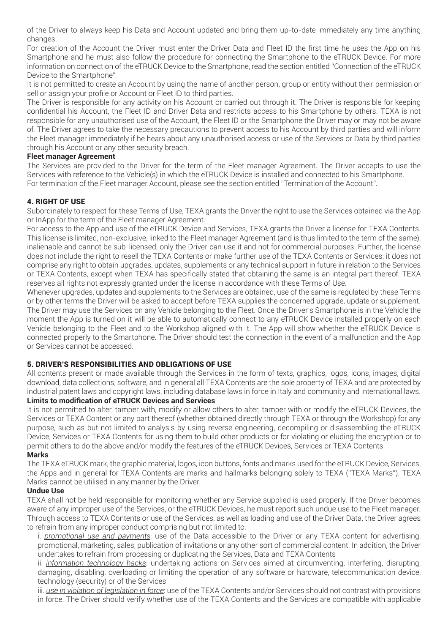of the Driver to always keep his Data and Account updated and bring them up-to-date immediately any time anything changes.

For creation of the Account the Driver must enter the Driver Data and Fleet ID the first time he uses the App on his Smartphone and he must also follow the procedure for connecting the Smartphone to the eTRUCK Device. For more information on connection of the eTRUCK Device to the Smartphone, read the section entitled "Connection of the eTRUCK Device to the Smartphone".

It is not permitted to create an Account by using the name of another person, group or entity without their permission or sell or assign your profile or Account or Fleet ID to third parties.

The Driver is responsible for any activity on his Account or carried out through it. The Driver is responsible for keeping confidential his Account, the Fleet ID and Driver Data and restricts access to his Smartphone by others. TEXA is not responsible for any unauthorised use of the Account, the Fleet ID or the Smartphone the Driver may or may not be aware of. The Driver agrees to take the necessary precautions to prevent access to his Account by third parties and will inform the Fleet manager immediately if he hears about any unauthorised access or use of the Services or Data by third parties through his Account or any other security breach.

## **Fleet manager Agreement**

The Services are provided to the Driver for the term of the Fleet manager Agreement. The Driver accepts to use the Services with reference to the Vehicle(s) in which the eTRUCK Device is installed and connected to his Smartphone. For termination of the Fleet manager Account, please see the section entitled "Termination of the Account".

## 4. RIGHT OF USE

Subordinately to respect for these Terms of Use, TEXA grants the Driver the right to use the Services obtained via the App or InApp for the term of the Fleet manager Agreement.

For access to the App and use of the eTRUCK Device and Services, TEXA grants the Driver a license for TEXA Contents. This license is limited, non-exclusive, linked to the Fleet manager Agreement (and is thus limited to the term of the same), inalienable and cannot be sub-licensed; only the Driver can use it and not for commercial purposes. Further, the license does not include the right to resell the TEXA Contents or make further use of the TEXA Contents or Services; it does not comprise any right to obtain upgrades, updates, supplements or any technical support in future in relation to the Services or TEXA Contents, except when TEXA has specifically stated that obtaining the same is an integral part thereof. TEXA reserves all rights not expressly granted under the license in accordance with these Terms of Use.

Whenever upgrades, updates and supplements to the Services are obtained, use of the same is regulated by these Terms or by other terms the Driver will be asked to accept before TEXA supplies the concerned upgrade, update or supplement. The Driver may use the Services on any Vehicle belonging to the Fleet. Once the Driver's Smartphone is in the Vehicle the moment the App is turned on it will be able to automatically connect to any eTRUCK Device installed properly on each Vehicle belonging to the Fleet and to the Workshop aligned with it. The App will show whether the eTRUCK Device is connected properly to the Smartphone. The Driver should test the connection in the event of a malfunction and the App or Services cannot be accessed.

# 5. DRIVER'S RESPONSIBILITIES AND OBLIGATIONS OF USE

All contents present or made available through the Services in the form of texts, graphics, logos, icons, images, digital download, data collections, software, and in general all TEXA Contents are the sole property of TEXA and are protected by industrial patent laws and copyright laws, including database laws in force in Italy and community and international laws.

# **Limits to modification of eTRUCK Devices and Services**

It is not permitted to alter, tamper with, modify or allow others to alter, tamper with or modify the eTRUCK Devices, the Services or TEXA Content or any part thereof (whether obtained directly through TEXA or through the Workshop) for any purpose, such as but not limited to analysis by using reverse engineering, decompiling or disassembling the eTRUCK Device, Services or TEXA Contents for using them to build other products or for violating or eluding the encryption or to permit others to do the above and/or modify the features of the eTRUCK Devices, Services or TEXA Contents.

## **Marks**

The TEXA eTRUCK mark, the graphic material, logos, icon buttons, fonts and marks used for the eTRUCK Device, Services, the Apps and in general for TEXA Contents are marks and hallmarks belonging solely to TEXA ("TEXA Marks"). TEXA Marks cannot be utilised in any manner by the Driver.

## **Undue Use**

TEXA shall not be held responsible for monitoring whether any Service supplied is used properly. If the Driver becomes aware of any improper use of the Services, or the eTRUCK Devices, he must report such undue use to the Fleet manager. Through access to TEXA Contents or use of the Services, as well as loading and use of the Driver Data, the Driver agrees to refrain from any improper conduct comprising but not limited to:

i. *promotional use and payments*: use of the Data accessible to the Driver or any TEXA content for advertising, promotional, marketing, sales, publication of invitations or any other sort of commercial content. In addition, the Driver undertakes to refrain from processing or duplicating the Services, Data and TEXA Contents

ii. *information technology hacks*: undertaking actions on Services aimed at circumventing, interfering, disrupting, damaging, disabling, overloading or limiting the operation of any software or hardware, telecommunication device, technology (security) or of the Services

iii. *use in violation of legislation in force*: use of the TEXA Contents and/or Services should not contrast with provisions in force. The Driver should verify whether use of the TEXA Contents and the Services are compatible with applicable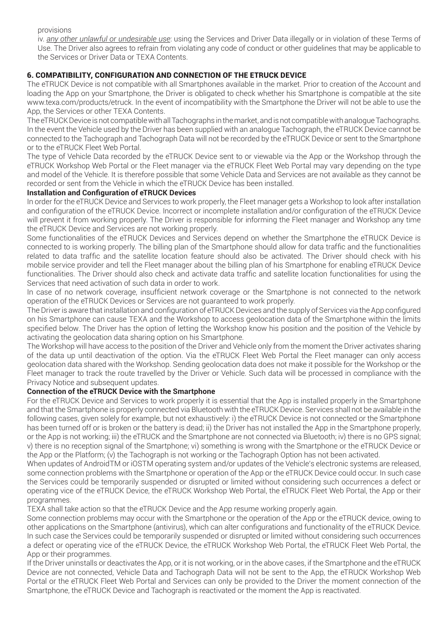provisions

iv. *any other unlawful or undesirable use*: using the Services and Driver Data illegally or in violation of these Terms of Use. The Driver also agrees to refrain from violating any code of conduct or other guidelines that may be applicable to the Services or Driver Data or TEXA Contents.

# 6. COMPATIBILITY, CONFIGURATION AND CONNECTION OF THE ETRUCK DEVICE

The eTRUCK Device is not compatible with all Smartphones available in the market. Prior to creation of the Account and loading the App on your Smartphone, the Driver is obligated to check whether his Smartphone is compatible at the site www.texa.com/products/etruck. In the event of incompatibility with the Smartphone the Driver will not be able to use the App, the Services or other TEXA Contents.

The eTRUCK Device is not compatible with all Tachographs in the market, and is not compatible with analogue Tachographs. In the event the Vehicle used by the Driver has been supplied with an analogue Tachograph, the eTRUCK Device cannot be connected to the Tachograph and Tachograph Data will not be recorded by the eTRUCK Device or sent to the Smartphone or to the eTRUCK Fleet Web Portal.

The type of Vehicle Data recorded by the eTRUCK Device sent to or viewable via the App or the Workshop through the eTRUCK Workshop Web Portal or the Fleet manager via the eTRUCK Fleet Web Portal may vary depending on the type and model of the Vehicle. It is therefore possible that some Vehicle Data and Services are not available as they cannot be recorded or sent from the Vehicle in which the eTRUCK Device has been installed.

## **Installation and Configuration of eTRUCK Devices**

In order for the eTRUCK Device and Services to work properly, the Fleet manager gets a Workshop to look after installation and configuration of the eTRUCK Device. Incorrect or incomplete installation and/or configuration of the eTRUCK Device will prevent it from working properly. The Driver is responsible for informing the Fleet manager and Workshop any time the eTRUCK Device and Services are not working properly.

Some functionalities of the eTRUCK Devices and Services depend on whether the Smartphone the eTRUCK Device is connected to is working properly. The billing plan of the Smartphone should allow for data traffic and the functionalities related to data traffic and the satellite location feature should also be activated. The Driver should check with his mobile service provider and tell the Fleet manager about the billing plan of his Smartphone for enabling eTRUCK Device functionalities. The Driver should also check and activate data traffic and satellite location functionalities for using the Services that need activation of such data in order to work.

In case of no network coverage, insufficient network coverage or the Smartphone is not connected to the network operation of the eTRUCK Devices or Services are not guaranteed to work properly.

The Driver is aware that installation and configuration of eTRUCK Devices and the supply of Services via the App configured on his Smartphone can cause TEXA and the Workshop to access geolocation data of the Smartphone within the limits specified below. The Driver has the option of letting the Workshop know his position and the position of the Vehicle by activating the geolocation data sharing option on his Smartphone.

The Workshop will have access to the position of the Driver and Vehicle only from the moment the Driver activates sharing of the data up until deactivation of the option. Via the eTRUCK Fleet Web Portal the Fleet manager can only access geolocation data shared with the Workshop. Sending geolocation data does not make it possible for the Workshop or the Fleet manager to track the route travelled by the Driver or Vehicle. Such data will be processed in compliance with the Privacy Notice and subsequent updates.

# **Connection of the eTRUCK Device with the Smartphone**

For the eTRUCK Device and Services to work properly it is essential that the App is installed properly in the Smartphone and that the Smartphone is properly connected via Bluetooth with the eTRUCK Device. Services shall not be available in the following cases, given solely for example, but not exhaustively: i) the eTRUCK Device is not connected or the Smartphone has been turned off or is broken or the battery is dead; ii) the Driver has not installed the App in the Smartphone properly, or the App is not working; iii) the eTRUCK and the Smartphone are not connected via Bluetooth; iv) there is no GPS signal; v) there is no reception signal of the Smartphone; vi) something is wrong with the Smartphone or the eTRUCK Device or the App or the Platform; (v) the Tachograph is not working or the Tachograph Option has not been activated.

When updates of AndroidTM or iOSTM operating system and/or updates of the Vehicle's electronic systems are released, some connection problems with the Smartphone or operation of the App or the eTRUCK Device could occur. In such case the Services could be temporarily suspended or disrupted or limited without considering such occurrences a defect or operating vice of the eTRUCK Device, the eTRUCK Workshop Web Portal, the eTRUCK Fleet Web Portal, the App or their programmes.

TEXA shall take action so that the eTRUCK Device and the App resume working properly again.

Some connection problems may occur with the Smartphone or the operation of the App or the eTRUCK device, owing to other applications on the Smartphone (antivirus), which can alter configurations and functionality of the eTRUCK Device. In such case the Services could be temporarily suspended or disrupted or limited without considering such occurrences a defect or operating vice of the eTRUCK Device, the eTRUCK Workshop Web Portal, the eTRUCK Fleet Web Portal, the App or their programmes.

If the Driver uninstalls or deactivates the App, or it is not working, or in the above cases, if the Smartphone and the eTRUCK Device are not connected, Vehicle Data and Tachograph Data will not be sent to the App, the eTRUCK Workshop Web Portal or the eTRUCK Fleet Web Portal and Services can only be provided to the Driver the moment connection of the Smartphone, the eTRUCK Device and Tachograph is reactivated or the moment the App is reactivated.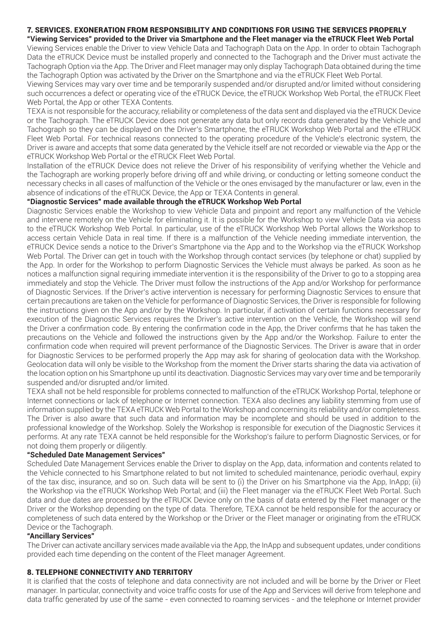#### 7. SERVICES. EXONERATION FROM RESPONSIBILITY AND CONDITIONS FOR USING THE SERVICES PROPERLY **"Viewing Services" provided to the Driver via Smartphone and the Fleet manager via the eTRUCK Fleet Web Portal**

Viewing Services enable the Driver to view Vehicle Data and Tachograph Data on the App. In order to obtain Tachograph Data the eTRUCK Device must be installed properly and connected to the Tachograph and the Driver must activate the Tachograph Option via the App. The Driver and Fleet manager may only display Tachograph Data obtained during the time the Tachograph Option was activated by the Driver on the Smartphone and via the eTRUCK Fleet Web Portal.

Viewing Services may vary over time and be temporarily suspended and/or disrupted and/or limited without considering such occurrences a defect or operating vice of the eTRUCK Device, the eTRUCK Workshop Web Portal, the eTRUCK Fleet Web Portal, the App or other TEXA Contents.

TEXA is not responsible for the accuracy, reliability or completeness of the data sent and displayed via the eTRUCK Device or the Tachograph. The eTRUCK Device does not generate any data but only records data generated by the Vehicle and Tachograph so they can be displayed on the Driver's Smartphone, the eTRUCK Workshop Web Portal and the eTRUCK Fleet Web Portal. For technical reasons connected to the operating procedure of the Vehicle's electronic system, the Driver is aware and accepts that some data generated by the Vehicle itself are not recorded or viewable via the App or the eTRUCK Workshop Web Portal or the eTRUCK Fleet Web Portal.

Installation of the eTRUCK Device does not relieve the Driver of his responsibility of verifying whether the Vehicle and the Tachograph are working properly before driving off and while driving, or conducting or letting someone conduct the necessary checks in all cases of malfunction of the Vehicle or the ones envisaged by the manufacturer or law, even in the absence of indications of the eTRUCK Device, the App or TEXA Contents in general.

# **"Diagnostic Services" made available through the eTRUCK Workshop Web Portal**

Diagnostic Services enable the Workshop to view Vehicle Data and pinpoint and report any malfunction of the Vehicle and intervene remotely on the Vehicle for eliminating it. It is possible for the Workshop to view Vehicle Data via access to the eTRUCK Workshop Web Portal. In particular, use of the eTRUCK Workshop Web Portal allows the Workshop to access certain Vehicle Data in real time. If there is a malfunction of the Vehicle needing immediate intervention, the eTRUCK Device sends a notice to the Driver's Smartphone via the App and to the Workshop via the eTRUCK Workshop Web Portal. The Driver can get in touch with the Workshop through contact services (by telephone or chat) supplied by the App. In order for the Workshop to perform Diagnostic Services the Vehicle must always be parked. As soon as he notices a malfunction signal requiring immediate intervention it is the responsibility of the Driver to go to a stopping area immediately and stop the Vehicle. The Driver must follow the instructions of the App and/or Workshop for performance of Diagnostic Services. If the Driver's active intervention is necessary for performing Diagnostic Services to ensure that certain precautions are taken on the Vehicle for performance of Diagnostic Services, the Driver is responsible for following the instructions given on the App and/or by the Workshop. In particular, if activation of certain functions necessary for execution of the Diagnostic Services requires the Driver's active intervention on the Vehicle, the Workshop will send the Driver a confirmation code. By entering the confirmation code in the App, the Driver confirms that he has taken the precautions on the Vehicle and followed the instructions given by the App and/or the Workshop. Failure to enter the confirmation code when required will prevent performance of the Diagnostic Services. The Driver is aware that in order for Diagnostic Services to be performed properly the App may ask for sharing of geolocation data with the Workshop. Geolocation data will only be visible to the Workshop from the moment the Driver starts sharing the data via activation of the location option on his Smartphone up until its deactivation. Diagnostic Services may vary over time and be temporarily suspended and/or disrupted and/or limited.

TEXA shall not be held responsible for problems connected to malfunction of the eTRUCK Workshop Portal, telephone or Internet connections or lack of telephone or Internet connection. TEXA also declines any liability stemming from use of information supplied by the TEXA eTRUCK Web Portal to the Workshop and concerning its reliability and/or completeness. The Driver is also aware that such data and information may be incomplete and should be used in addition to the professional knowledge of the Workshop. Solely the Workshop is responsible for execution of the Diagnostic Services it performs. At any rate TEXA cannot be held responsible for the Workshop's failure to perform Diagnostic Services, or for not doing them properly or diligently.

# **"Scheduled Date Management Services"**

Scheduled Date Management Services enable the Driver to display on the App, data, information and contents related to the Vehicle connected to his Smartphone related to but not limited to scheduled maintenance, periodic overhaul, expiry of the tax disc, insurance, and so on. Such data will be sent to (i) the Driver on his Smartphone via the App, InApp; (ii) the Workshop via the eTRUCK Workshop Web Portal; and (iii) the Fleet manager via the eTRUCK Fleet Web Portal. Such data and due dates are processed by the eTRUCK Device only on the basis of data entered by the Fleet manager or the Driver or the Workshop depending on the type of data. Therefore, TEXA cannot be held responsible for the accuracy or completeness of such data entered by the Workshop or the Driver or the Fleet manager or originating from the eTRUCK Device or the Tachograph.

# **"Ancillary Services"**

The Driver can activate ancillary services made available via the App, the InApp and subsequent updates, under conditions provided each time depending on the content of the Fleet manager Agreement.

# 8. TELEPHONE CONNECTIVITY AND TERRITORY

It is clarified that the costs of telephone and data connectivity are not included and will be borne by the Driver or Fleet manager. In particular, connectivity and voice traffic costs for use of the App and Services will derive from telephone and data traffic generated by use of the same - even connected to roaming services - and the telephone or Internet provider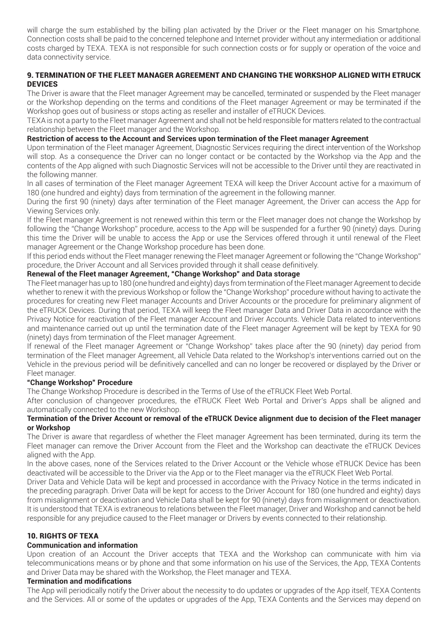will charge the sum established by the billing plan activated by the Driver or the Fleet manager on his Smartphone. Connection costs shall be paid to the concerned telephone and Internet provider without any intermediation or additional costs charged by TEXA. TEXA is not responsible for such connection costs or for supply or operation of the voice and data connectivity service.

# 9. TERMINATION OF THE FLEET MANAGER AGREEMENT AND CHANGING THE WORKSHOP ALIGNED WITH ETRUCK **DEVICES**

The Driver is aware that the Fleet manager Agreement may be cancelled, terminated or suspended by the Fleet manager or the Workshop depending on the terms and conditions of the Fleet manager Agreement or may be terminated if the Workshop goes out of business or stops acting as reseller and installer of eTRUCK Devices.

TEXA is not a party to the Fleet manager Agreement and shall not be held responsible for matters related to the contractual relationship between the Fleet manager and the Workshop.

# **Restriction of access to the Account and Services upon termination of the Fleet manager Agreement**

Upon termination of the Fleet manager Agreement, Diagnostic Services requiring the direct intervention of the Workshop will stop. As a consequence the Driver can no longer contact or be contacted by the Workshop via the App and the contents of the App aligned with such Diagnostic Services will not be accessible to the Driver until they are reactivated in the following manner.

In all cases of termination of the Fleet manager Agreement TEXA will keep the Driver Account active for a maximum of 180 (one hundred and eighty) days from termination of the agreement in the following manner.

During the first 90 (ninety) days after termination of the Fleet manager Agreement, the Driver can access the App for Viewing Services only.

If the Fleet manager Agreement is not renewed within this term or the Fleet manager does not change the Workshop by following the "Change Workshop" procedure, access to the App will be suspended for a further 90 (ninety) days. During this time the Driver will be unable to access the App or use the Services offered through it until renewal of the Fleet manager Agreement or the Change Workshop procedure has been done.

If this period ends without the Fleet manager renewing the Fleet manager Agreement or following the "Change Workshop" procedure, the Driver Account and all Services provided through it shall cease definitively.

# **Renewal of the Fleet manager Agreement, "Change Workshop" and Data storage**

The Fleet manager has up to 180 (one hundred and eighty) days from termination of the Fleet manager Agreement to decide whether to renew it with the previous Workshop or follow the "Change Workshop" procedure without having to activate the procedures for creating new Fleet manager Accounts and Driver Accounts or the procedure for preliminary alignment of the eTRUCK Devices. During that period, TEXA will keep the Fleet manager Data and Driver Data in accordance with the Privacy Notice for reactivation of the Fleet manager Account and Driver Accounts. Vehicle Data related to interventions and maintenance carried out up until the termination date of the Fleet manager Agreement will be kept by TEXA for 90 (ninety) days from termination of the Fleet manager Agreement.

If renewal of the Fleet manager Agreement or "Change Workshop" takes place after the 90 (ninety) day period from termination of the Fleet manager Agreement, all Vehicle Data related to the Workshop's interventions carried out on the Vehicle in the previous period will be definitively cancelled and can no longer be recovered or displayed by the Driver or Fleet manager.

## **"Change Workshop" Procedure**

The Change Workshop Procedure is described in the Terms of Use of the eTRUCK Fleet Web Portal.

After conclusion of changeover procedures, the eTRUCK Fleet Web Portal and Driver's Apps shall be aligned and automatically connected to the new Workshop.

## **Termination of the Driver Account or removal of the eTRUCK Device alignment due to decision of the Fleet manager or Workshop**

The Driver is aware that regardless of whether the Fleet manager Agreement has been terminated, during its term the Fleet manager can remove the Driver Account from the Fleet and the Workshop can deactivate the eTRUCK Devices aligned with the App.

In the above cases, none of the Services related to the Driver Account or the Vehicle whose eTRUCK Device has been deactivated will be accessible to the Driver via the App or to the Fleet manager via the eTRUCK Fleet Web Portal.

Driver Data and Vehicle Data will be kept and processed in accordance with the Privacy Notice in the terms indicated in the preceding paragraph. Driver Data will be kept for access to the Driver Account for 180 (one hundred and eighty) days from misalignment or deactivation and Vehicle Data shall be kept for 90 (ninety) days from misalignment or deactivation. It is understood that TEXA is extraneous to relations between the Fleet manager, Driver and Workshop and cannot be held responsible for any prejudice caused to the Fleet manager or Drivers by events connected to their relationship.

# 10. RIGHTS OF TEXA

## **Communication and information**

Upon creation of an Account the Driver accepts that TEXA and the Workshop can communicate with him via telecommunications means or by phone and that some information on his use of the Services, the App, TEXA Contents and Driver Data may be shared with the Workshop, the Fleet manager and TEXA.

## **Termination and modifications**

The App will periodically notify the Driver about the necessity to do updates or upgrades of the App itself, TEXA Contents and the Services. All or some of the updates or upgrades of the App, TEXA Contents and the Services may depend on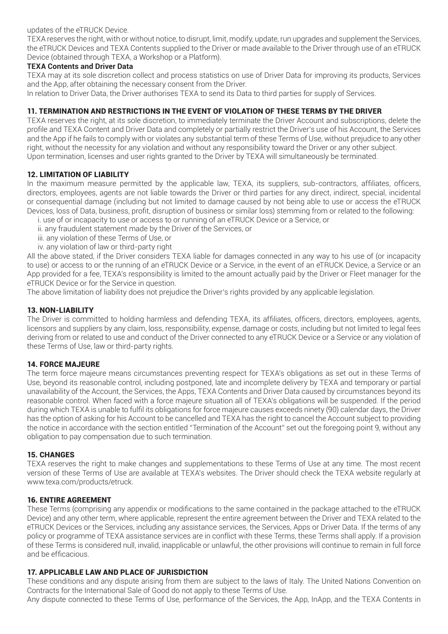updates of the eTRUCK Device.

TEXA reserves the right, with or without notice, to disrupt, limit, modify, update, run upgrades and supplement the Services, the eTRUCK Devices and TEXA Contents supplied to the Driver or made available to the Driver through use of an eTRUCK Device (obtained through TEXA, a Workshop or a Platform).

# **TEXA Contents and Driver Data**

TEXA may at its sole discretion collect and process statistics on use of Driver Data for improving its products, Services and the App, after obtaining the necessary consent from the Driver.

In relation to Driver Data, the Driver authorises TEXA to send its Data to third parties for supply of Services.

# 11. TERMINATION AND RESTRICTIONS IN THE EVENT OF VIOLATION OF THESE TERMS BY THE DRIVER

TEXA reserves the right, at its sole discretion, to immediately terminate the Driver Account and subscriptions, delete the profile and TEXA Content and Driver Data and completely or partially restrict the Driver's use of his Account, the Services and the App if he fails to comply with or violates any substantial term of these Terms of Use, without prejudice to any other right, without the necessity for any violation and without any responsibility toward the Driver or any other subject. Upon termination, licenses and user rights granted to the Driver by TEXA will simultaneously be terminated.

# 12. LIMITATION OF LIABILITY

In the maximum measure permitted by the applicable law, TEXA, its suppliers, sub-contractors, affiliates, officers, directors, employees, agents are not liable towards the Driver or third parties for any direct, indirect, special, incidental or consequential damage (including but not limited to damage caused by not being able to use or access the eTRUCK Devices, loss of Data, business, profit, disruption of business or similar loss) stemming from or related to the following:

- i. use of or incapacity to use or access to or running of an eTRUCK Device or a Service, or
- ii. any fraudulent statement made by the Driver of the Services, or
- iii. any violation of these Terms of Use, or
- iv. any violation of law or third-party right

All the above stated, if the Driver considers TEXA liable for damages connected in any way to his use of (or incapacity to use) or access to or the running of an eTRUCK Device or a Service, in the event of an eTRUCK Device, a Service or an App provided for a fee, TEXA's responsibility is limited to the amount actually paid by the Driver or Fleet manager for the eTRUCK Device or for the Service in question.

The above limitation of liability does not prejudice the Driver's rights provided by any applicable legislation.

# 13. NON-LIABILITY

The Driver is committed to holding harmless and defending TEXA, its affiliates, officers, directors, employees, agents, licensors and suppliers by any claim, loss, responsibility, expense, damage or costs, including but not limited to legal fees deriving from or related to use and conduct of the Driver connected to any eTRUCK Device or a Service or any violation of these Terms of Use, law or third-party rights.

## 14. FORCE MAJEURE

The term force majeure means circumstances preventing respect for TEXA's obligations as set out in these Terms of Use, beyond its reasonable control, including postponed, late and incomplete delivery by TEXA and temporary or partial unavailability of the Account, the Services, the Apps, TEXA Contents and Driver Data caused by circumstances beyond its reasonable control. When faced with a force majeure situation all of TEXA's obligations will be suspended. If the period during which TEXA is unable to fulfil its obligations for force majeure causes exceeds ninety (90) calendar days, the Driver has the option of asking for his Account to be cancelled and TEXA has the right to cancel the Account subject to providing the notice in accordance with the section entitled "Termination of the Account" set out the foregoing point 9, without any obligation to pay compensation due to such termination.

# 15. CHANGES

TEXA reserves the right to make changes and supplementations to these Terms of Use at any time. The most recent version of these Terms of Use are available at TEXA's websites. The Driver should check the TEXA website regularly at www.texa.com/products/etruck.

## 16. ENTIRE AGREEMENT

These Terms (comprising any appendix or modifications to the same contained in the package attached to the eTRUCK Device) and any other term, where applicable, represent the entire agreement between the Driver and TEXA related to the eTRUCK Devices or the Services, including any assistance services, the Services, Apps or Driver Data. If the terms of any policy or programme of TEXA assistance services are in conflict with these Terms, these Terms shall apply. If a provision of these Terms is considered null, invalid, inapplicable or unlawful, the other provisions will continue to remain in full force and be efficacious.

## 17. APPLICABLE LAW AND PLACE OF JURISDICTION

These conditions and any dispute arising from them are subject to the laws of Italy. The United Nations Convention on Contracts for the International Sale of Good do not apply to these Terms of Use.

Any dispute connected to these Terms of Use, performance of the Services, the App, InApp, and the TEXA Contents in